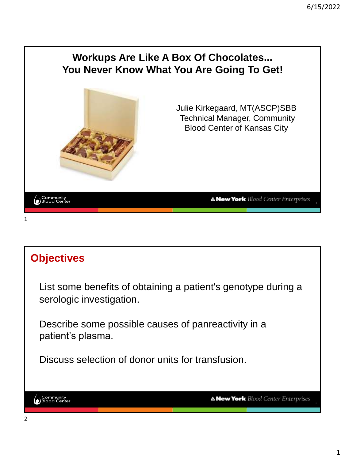

# **Objectives** List some benefits of obtaining a patient's genotype during a serologic investigation. Describe some possible causes of panreactivity in a patient's plasma. Discuss selection of donor units for transfusion. Community<br>Blood Center **A New York** Blood Center Enterprises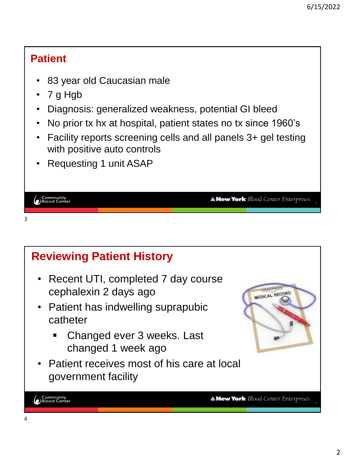#### **Patient**

- 83 year old Caucasian male
- 7 g Hgb
- Diagnosis: generalized weakness, potential GI bleed
- No prior tx hx at hospital, patient states no tx since 1960's
- Facility reports screening cells and all panels 3+ gel testing with positive auto controls
- Requesting 1 unit ASAP

| Community<br>Blood Center |  | <b>A New York</b> Blood Center Enterprises |  |
|---------------------------|--|--------------------------------------------|--|
|                           |  |                                            |  |
| 3                         |  |                                            |  |

#### **Reviewing Patient History** • Recent UTI, completed 7 day course cephalexin 2 days ago MEDICAL RECORD • Patient has indwelling suprapubic catheter Changed ever 3 weeks. Last changed 1 week ago • Patient receives most of his care at local government facility └ Community<br>● Blood Center **A New York** Blood Center Enterprises 4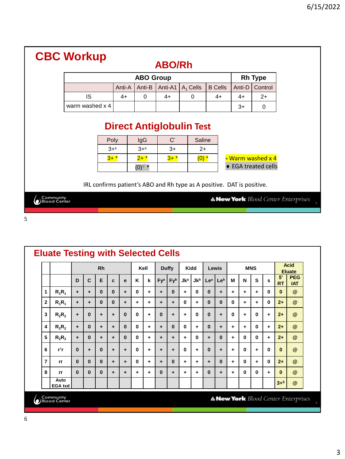|                           | <b>CBC Workup</b>            |                 |                                                                        | <b>ABO/Rh</b> |                   |                |        |                                          |                                            |  |  |  |  |
|---------------------------|------------------------------|-----------------|------------------------------------------------------------------------|---------------|-------------------|----------------|--------|------------------------------------------|--------------------------------------------|--|--|--|--|
|                           |                              |                 | <b>ABO Group</b>                                                       |               |                   |                |        | <b>Rh Type</b>                           |                                            |  |  |  |  |
|                           |                              | Anti-A          | Anti-B                                                                 | Anti-A1       | $A_1$ Cells       | <b>B</b> Cells | Anti-D | Control                                  |                                            |  |  |  |  |
|                           | IS                           | $4+$            | 0                                                                      | $4+$          | $\Omega$          | $4+$           | $4+$   | $2+$                                     |                                            |  |  |  |  |
|                           | warm washed x 4<br>$3+$<br>0 |                 |                                                                        |               |                   |                |        |                                          |                                            |  |  |  |  |
|                           |                              | Poly<br>$3 + s$ | <b>Direct Antiglobulin Test</b><br>IgG<br>$3 + s$                      | C'<br>$3+$    | Saline            |                |        |                                          |                                            |  |  |  |  |
|                           |                              | $3+$ *          | $2+$ *<br>$(0)^{\vee}$ $\star$                                         | $3+$ *        | $2+$<br>$(0)$ $*$ |                |        | * Warm washed x 4<br>◆ EGA treated cells |                                            |  |  |  |  |
|                           |                              |                 | IRL confirms patient's ABO and Rh type as A positive. DAT is positive. |               |                   |                |        |                                          |                                            |  |  |  |  |
| Community<br>Blood Center |                              |                 |                                                                        |               |                   |                |        |                                          | <b>A New York</b> Blood Center Enterprises |  |  |  |  |

|              | <b>Eluate Testing with Selected Cells</b> |          |              |           |          |          |              |           |                 |              |            |            |          |           |   |   |            |   |                 |                                            |            |
|--------------|-------------------------------------------|----------|--------------|-----------|----------|----------|--------------|-----------|-----------------|--------------|------------|------------|----------|-----------|---|---|------------|---|-----------------|--------------------------------------------|------------|
|              |                                           |          |              | <b>Rh</b> |          |          | Kell         |           |                 | <b>Duffy</b> | Kidd       |            |          | Lewis     |   |   | <b>MNS</b> |   |                 | <b>Acid</b><br><b>Eluate</b>               |            |
|              |                                           | D        | $\mathbf{C}$ | E         | C        | e        | K            | k         | Fy <sup>a</sup> | Fyb          | <b>Jka</b> | <b>Jkb</b> | Lea      | Leb       | M | N | S          | s | 5'<br><b>RT</b> | <b>PEG</b><br><b>IAT</b>                   |            |
| 1            | $R_1R_1$                                  | ÷        | ٠            | $\bf{0}$  | $\bf{0}$ | $\pm$    | $\mathbf{0}$ | $\ddot{}$ | $\ddot{}$       | 0            | ٠          | 0          | $\bf{0}$ | $\ddot{}$ | ÷ | ٠ | ÷          | 0 | $\bf{0}$        | $^{\circledR}$                             |            |
| $\mathbf{2}$ | $R_1R_1$                                  | ÷        | ÷            | $\bf{0}$  | $\bf{0}$ | ٠        | ٠            | ٠         | ÷               | ٠            | 0          | ٠          | $\bf{0}$ | $\bf{0}$  | 0 | ÷ | ٠          | 0 | $2+$            | @                                          |            |
| 3            | $R_2R_2$                                  | ÷        | $\bf{0}$     | ÷         | ÷        | $\bf{0}$ | 0            | ٠         | $\bf{0}$        | ٠            | ٠          | 0          | $\bf{0}$ | ٠         | 0 | ٠ | 0          | ÷ | $2+$            | $\omega$                                   |            |
| 4            | $R_2R_2$                                  | ÷        | $\bf{0}$     | ٠         | ٠        | $\bf{0}$ | $\bf{0}$     | ÷         | $\ddot{}$       | 0            | 0          | ٠          | $\bf{0}$ | $\ddot{}$ | ÷ | ٠ | 0          | ÷ | $2+$            | @                                          |            |
| 5            | $R_2R_2$                                  | ÷        | $\bf{0}$     | ٠         | ٠        | $\bf{0}$ | $\bf{0}$     | ٠         | ۰               | ۰            | ٠          | 0          | ÷        | $\bf{0}$  | ÷ | 0 | 0          | ÷ | $2+$            | @                                          |            |
| 6            | r'r                                       | $\bf{0}$ | ÷            | $\bf{0}$  | ٠        | ٠        | $\bf{0}$     | ٠         | ٠               | ٠            | 0          | ٠          | $\bf{0}$ | ٠         | ٠ | 0 | ÷          | 0 | $\bf{0}$        | $\omega$                                   |            |
| 7            | <b>rr</b>                                 | $\bf{0}$ | $\bf{0}$     | $\bf{0}$  | ٠        | ٠        | 0            | ÷         | ÷               | 0            | ٠          | ٠          | ÷        | $\bf{0}$  | ÷ | 0 | ٠          | 0 | $2+$            | @                                          |            |
| 8            | rr                                        | $\bf{0}$ | $\mathbf{0}$ | $\bf{0}$  | ÷        | ٠        | ٠            | ٠         | $\bf{0}$        | ٠            | ٠          | ٠          | $\bf{0}$ | ٠         | ٠ | 0 | 0          | ÷ | $\bf{0}$        | $^{\circledR}$                             |            |
|              | Auto<br><b>EGA txd</b>                    |          |              |           |          |          |              |           |                 |              |            |            |          |           |   |   |            |   | $3+5$           | @                                          |            |
|              | Community<br>Blood Center                 |          |              |           |          |          |              |           |                 |              |            |            |          |           |   |   |            |   |                 | <b>A New York</b> Blood Center Enterprises | $\sqrt{2}$ |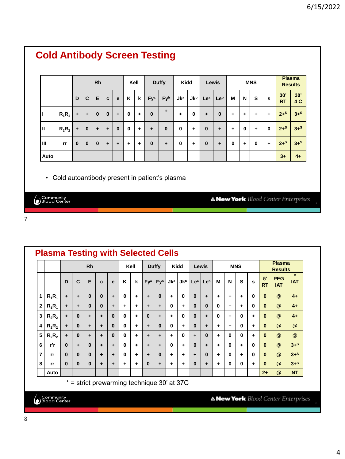|      |          |              |              | <b>Rh</b>    |          |              | Kell        |             |                 | <b>Duffy</b> | <b>Kidd</b> |            | Lewis           |          |          |              | <b>MNS</b>   |              |                  | <b>Plasma</b><br><b>Results</b> |
|------|----------|--------------|--------------|--------------|----------|--------------|-------------|-------------|-----------------|--------------|-------------|------------|-----------------|----------|----------|--------------|--------------|--------------|------------------|---------------------------------|
|      |          | D            | $\mathbf{C}$ | E            | C        | $\mathbf{e}$ | K           | $\mathbf k$ | Fy <sup>a</sup> | Fyb          | <b>Jka</b>  | <b>Jkb</b> | Le <sup>a</sup> | Leb      | M        | N            | s            | s            | 30'<br><b>RT</b> | 30'<br>4 C                      |
|      | $R_1R_1$ | $\ddot{}$    | $\ddot{}$    | $\mathbf 0$  | $\bf{0}$ | ÷            | $\mathbf 0$ | $\ddot{}$   | $\mathbf{0}$    | ÷            | ÷           | 0          | ÷               | $\bf{0}$ | ÷        | ÷            | $\ddot{}$    | $\ddot{}$    | $2+$ s           | $3+$ s                          |
| Ш    | $R_2R_2$ | $\ddot{}$    | $\mathbf 0$  | ÷            | ÷        | $\mathbf{0}$ | $\mathbf 0$ | $\ddot{}$   | $\ddot{}$       | $\bf{0}$     | 0           | ÷          | $\bf{0}$        | ÷        | ÷        | $\mathbf{0}$ | $\ddot{}$    | $\mathbf{0}$ | $2+$ s           | $3+$ s                          |
| Ш    | rr       | $\mathbf{0}$ | $\bf{0}$     | $\mathbf{0}$ | ÷        | ÷            | $\ddot{}$   | ÷           | $\bf{0}$        | ÷            | $\bf{0}$    | ٠          | $\bf{0}$        | ٠        | $\bf{0}$ | $\ddot{}$    | $\mathbf{0}$ | $\ddot{}$    | $2+$ s           | $3+$ s                          |
| Auto |          |              |              |              |          |              |             |             |                 |              |             |            |                 |          |          |              |              |              | $3+$             | $4+$                            |

Community<br>DBlood Center

7

**Plasma Testing with Selected Cells Rh Kell Duffy Kidd Lewis MNS Plasma Results \* 5' PEG IAT D C E c e K k Fy<sup>a</sup> Fy<sup>b</sup> Jk<sup>a</sup> Jk<sup>b</sup> Le<sup>a</sup> Le<sup>b</sup> M N S s RT IAT 1 R1R<sup>1</sup> + + 0 0 + 0 + + 0 + 0 0 + + + + 0 0 @ 4+ 2 R1R<sup>1</sup> + + 0 0 + + + + + 0 + 0 0 0 + + 0 0 @ 4+ 3 R2R<sup>2</sup> + 0 + + 0 0 + 0 + + 0 0 + 0 + 0 + 0 @ 4+ 4 R2R<sup>2</sup> + 0 + + 0 0 + + 0 0 + 0 + + + 0 + 0 @ @ 5 R2R<sup>2</sup> + 0 + + 0 0 + + + + 0 + 0 + 0 0 + 0 @ @ 6 r'r 0 + 0 + + 0 + + + 0 + 0 + + 0 + 0 0 @ 3+<sup>S</sup> 7 rr 0 0 0 + + 0 + + 0 + + + 0 + 0 + 0 0 @ 3+<sup>S</sup> 8 rr 0 0 0 + + + + 0 + + + 0 + + 0 0 + 0 @ 3+<sup>S</sup> Auto 2+ @ NT** \* = strict prewarming technique 30' at 37C Community<br>Blood Center **A New York** Blood Center Enterprises 8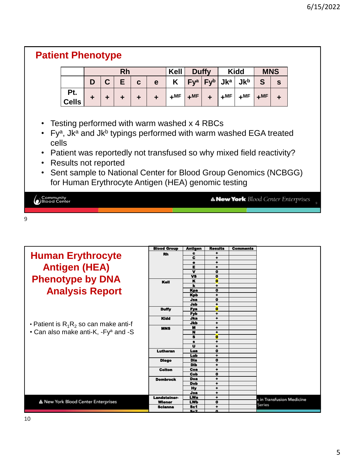| $Fy^a$ $Fy^b$<br>Jk <sub>p</sub><br>$Jk^a$<br>E.<br>S<br>D<br>K<br>C<br>C<br>$\mathbf{s}$<br>e<br>Pt.<br>$+MF$<br>$+$ MF<br>$+^{\text{MF}}$<br>$+$ MF<br>$+$ MF<br>$\ddot{}$<br>$\ddot{\phantom{1}}$<br>÷<br>÷<br>÷<br>$\div$<br><b>Cells</b><br>• Testing performed with warm washed x 4 RBCs |                                                                                                        |  | <b>Rh</b> |  | Kell | <b>Duffy</b> |  | <b>Kidd</b> | <b>MNS</b> |  |
|------------------------------------------------------------------------------------------------------------------------------------------------------------------------------------------------------------------------------------------------------------------------------------------------|--------------------------------------------------------------------------------------------------------|--|-----------|--|------|--------------|--|-------------|------------|--|
|                                                                                                                                                                                                                                                                                                |                                                                                                        |  |           |  |      |              |  |             |            |  |
|                                                                                                                                                                                                                                                                                                |                                                                                                        |  |           |  |      |              |  |             |            |  |
|                                                                                                                                                                                                                                                                                                | • Fy <sup>a</sup> , Jk <sup>a</sup> and Jk <sup>b</sup> typings performed with warm washed EGA treated |  |           |  |      |              |  |             |            |  |
| • Patient was reportedly not transfused so why mixed field reactivity?                                                                                                                                                                                                                         | cells                                                                                                  |  |           |  |      |              |  |             |            |  |

Community<br>DBlood Center

**A New York** Blood Center Enterprises

9

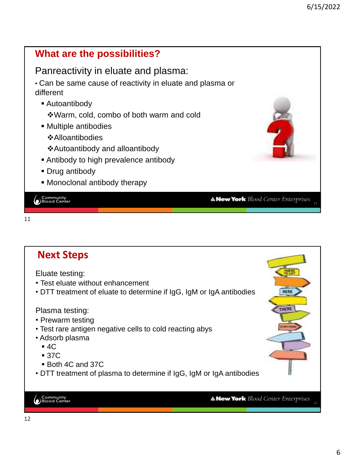

```
11
```
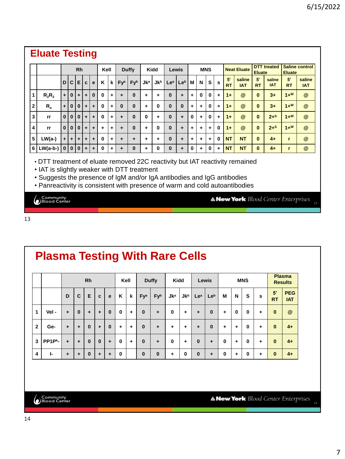#### **Eluate Testing**

|                |            |                         |          | <b>Rh</b> |           |          | Kell |   |                 | <b>Duffy</b> |            | <b>Kidd</b> | Lewis           |     |             | <b>MNS</b> |             |              |                 | <b>Neat Eluate</b>   | <b>Eluate</b>   | <b>DTT</b> treated   | <b>Eluate</b>   | <b>Saline control</b> |
|----------------|------------|-------------------------|----------|-----------|-----------|----------|------|---|-----------------|--------------|------------|-------------|-----------------|-----|-------------|------------|-------------|--------------|-----------------|----------------------|-----------------|----------------------|-----------------|-----------------------|
|                |            | D                       | C.       | ЕІ        | C         | e        | K    | k | Fy <sup>a</sup> | Fyb          | <b>Jka</b> | Jkb         | Le <sup>a</sup> | Leb | M           | N          | s           | s            | 5'<br><b>RT</b> | saline<br><b>IAT</b> | 5'<br><b>RT</b> | saline<br><b>IAT</b> | 5'<br><b>RT</b> | saline<br><b>IAT</b>  |
| 1              | $R_2R_2$   | ٠                       | $\bf{0}$ | ٠         | ÷         | $\bf{0}$ | 0    | ٠ | ۰               | $\bf{0}$     | ٠          | ٠           | $\bf{0}$        | ۰   | ٠           | 0          | 0           | ٠            | $1+$            | $\circleda$          | $\bf{0}$        | $3+$                 | $1+W$           | @                     |
| $\overline{2}$ | $R_{o}$    | ٠                       | 0        | 0         | ÷         | ٠        | 0    | ٠ | 0               | $\bf{0}$     | ٠          | 0           | $\bf{0}$        | 0   | ٠           | $\ddot{}$  | 0           | ٠            | $1+$            | $\circleda$          | $\bf{0}$        | $3+$                 | $1+W$           | $\omega$              |
| 3              | rr         | 0                       | $\bf{0}$ | $\bf{0}$  |           | ÷        | 0    | ÷ | ۰               | $\bf{0}$     | 0          | ٠           | $\bf{0}$        | ۰   | $\bf{0}$    | ÷          | 0           | ÷            | $1+$            | $\circleda$          | $\bf{0}$        | $2+$ s               | $1+W$           | @                     |
| 4              | rr         | $\bf{0}$                | $\bf{0}$ | 0         | ÷         | ٠        | ٠    | ÷ | ۰               | $\bf{0}$     | ٠          | 0           | $\bf{0}$        | ٠   | ÷           | ٠          | $\ddotmark$ | $\mathbf{0}$ | $1+$            | $\circleda$          | $\bf{0}$        | $2+$ s               | $1+W$           | @                     |
| 5              | $LW(a-)$   | ÷                       | ۰        | ÷         | ÷         | ٠        | 0    | ٠ | ۰               | ÷            | ٠          | ٠           | $\bf{0}$        | ٠   | ٠           | ٠          | ÷           | $\bf{0}$     | <b>NT</b>       | <b>NT</b>            | $\bf{0}$        | $4+$                 | r               | $\omega$              |
| 6              | $LW(a-b-)$ | $\overline{\mathbf{0}}$ | $\bf{0}$ | 0         | $\ddot{}$ | ÷        | 0    | ÷ | ۰               | $\bf{0}$     | ٠          | 0           | 0               | ۰   | $\mathbf 0$ | ÷          | 0           | ٠            | <b>NT</b>       | <b>NT</b>            | $\bf{0}$        | $4+$                 |                 | @                     |

• DTT treatment of eluate removed 22C reactivity but IAT reactivity remained

• IAT is slightly weaker with DTT treatment

• Suggests the presence of IgM and/or IgA antibodies and IgG antibodies

• Panreactivity is consistent with presence of warm and cold autoantibodies

Community<br>Blood Center

A New York Blood Center Enterprises

13

### **Plasma Testing With Rare Cells**

|                |                               |           |          | <b>Rh</b> |           |          | Kell        |   |                 | <b>Duffy</b> | Kidd     |              | Lewis           |                 |          |              | <b>MNS</b>   |   |                 | <b>Plasma</b><br><b>Results</b> |
|----------------|-------------------------------|-----------|----------|-----------|-----------|----------|-------------|---|-----------------|--------------|----------|--------------|-----------------|-----------------|----------|--------------|--------------|---|-----------------|---------------------------------|
|                |                               | D         | С        | E         | C         | e        | K           | k | Fy <sup>a</sup> | Fyb          | $Jk^a$   | Jkb          | Le <sup>a</sup> | Le <sup>b</sup> | M        | N            | S            | s | 5'<br><b>RT</b> | <b>PEG</b><br><b>IAT</b>        |
| 1              | Vel-                          | ÷         | $\bf{0}$ | ÷         | $\ddot{}$ | $\bf{0}$ | $\mathbf 0$ | ٠ | $\bf{0}$        | ٠            | $\bf{0}$ | ÷            | ٠               | $\bf{0}$        | ٠        | $\mathbf{0}$ | $\mathbf 0$  | ٠ | $\bf{0}$        | $\omega$                        |
| $\overline{2}$ | Ge-                           | ÷         | ٠        | $\bf{0}$  | $\ddot{}$ | $\bf{0}$ | $\ddot{}$   | ٠ | $\bf{0}$        | ÷            | ٠        | ٠            | ٠               | $\bf{0}$        | ÷        | ٠            | $\mathbf{0}$ | ٠ | $\mathbf{0}$    | $4+$                            |
| 3              | PP <sub>1P<sup>k</sup>-</sub> | $\ddot{}$ | ٠        | $\bf{0}$  | $\bf{0}$  | ÷        | 0           | ٠ | $\bf{0}$        | ٠            | 0        | ٠            | $\bf{0}$        | ÷               | 0        | ٠            | $\mathbf 0$  | ٠ | $\bf{0}$        | $4+$                            |
| 4              | ŀ.                            | ÷         | ٠        | $\bf{0}$  | ٠         | ٠        | 0           |   | $\bf{0}$        | $\bf{0}$     | ٠        | $\mathbf{0}$ | $\bf{0}$        | $\ddot{}$       | $\bf{0}$ | ٠            | $\mathbf 0$  | ٠ | $\bf{0}$        | $4+$                            |

Community<br>DBlood Center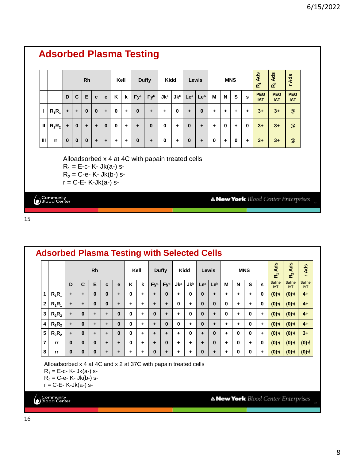|   |          |          |                       | <b>Rh</b> |                                                   |          | Kell         |           |              | <b>Duffy</b> | <b>Kidd</b> |            | Lewis           |          |   |              | <b>MNS</b> |   | R <sub>1</sub> Ads       | Ads<br>$R_{2}$           | r Ads                    |
|---|----------|----------|-----------------------|-----------|---------------------------------------------------|----------|--------------|-----------|--------------|--------------|-------------|------------|-----------------|----------|---|--------------|------------|---|--------------------------|--------------------------|--------------------------|
|   |          | D        | $\mathbf c$           | E         | ĸ<br>k<br>C<br>e<br>$\bf{0}$<br>$\mathbf{0}$<br>÷ |          |              |           | Fya          | Fyb          | <b>Jka</b>  | <b>Jkb</b> | Le <sup>a</sup> | Leb      | M | N            | S          | s | <b>PEG</b><br><b>IAT</b> | <b>PEG</b><br><b>IAT</b> | <b>PEG</b><br><b>IAT</b> |
| ı | $R_1R_1$ | ÷        | ÷                     | $\bf{0}$  |                                                   |          |              | $\ddot{}$ | $\mathbf{0}$ | ÷            | ÷           | $\bf{0}$   | $\ddot{}$       | $\bf{0}$ | ÷ | +            | ÷          | ÷ | $3+$                     | $3+$                     | @                        |
| Ш | $R_2R_2$ | ÷        | $\bf{0}$<br>$\ddot{}$ |           |                                                   | $\bf{0}$ | $\mathbf{0}$ | ÷         | ٠            | $\bf{0}$     | $\bf{0}$    | ÷          | $\bf{0}$        | ٠        | ÷ | $\mathbf{0}$ | $\ddot{}$  | 0 | $3+$                     | $3+$                     | @                        |
| Ш | rr       | $\bf{0}$ | $\bf{0}$              | $\bf{0}$  | ÷                                                 | ÷        | ÷            | ÷         | $\bf{0}$     | ٠            | 0           | ÷          | $\bf{0}$        | ٠        | 0 | ÷            | 0          | ÷ | $3+$                     | $3+$                     | @                        |

|                |          |          |           | <b>Rh</b>    |          |              |              | Kell |                 | <b>Duffy</b> |            | Kidd       |                 | Lewis           |          |          | <b>MNS</b> |          | Ads<br>$\mathbf{r}$  | Ads<br>$R^2$                | Ads                  |
|----------------|----------|----------|-----------|--------------|----------|--------------|--------------|------|-----------------|--------------|------------|------------|-----------------|-----------------|----------|----------|------------|----------|----------------------|-----------------------------|----------------------|
|                |          | D        | C         | Е            | C        | e            | ĸ            | k    | Fy <sup>a</sup> | Fyb          | <b>Jka</b> | <b>Jkb</b> | Le <sup>a</sup> | Le <sup>b</sup> | М        | N        | S          | s        | Saline<br><b>IAT</b> | <b>Saline</b><br><b>IAT</b> | Saline<br><b>IAT</b> |
|                | $R_1R_1$ | ٠        | $\ddot{}$ | $\mathbf{0}$ | $\Omega$ | ٠            | $\mathbf{0}$ | ٠    | ٠               | $\bf{0}$     | ٠          | $\Omega$   | $\bf{0}$        | ٠               | ٠        | ٠        | ٠          | 0        | (0)                  | (0)                         | $4+$                 |
| $\overline{2}$ | $R_1R_1$ | ÷        | $\ddot{}$ | $\bf{0}$     | $\Omega$ | ٠            | ٠            | ٠    | ÷               | ۰            | 0          | ٠          | $\bf{0}$        | $\bf{0}$        | $\bf{0}$ | ٠        | ٠          | 0        | (0)                  | (0)                         | $4+$                 |
| 3              | $R_2R_2$ | ÷        | $\Omega$  | ÷            | ٠        | $\mathbf{0}$ | $\mathbf{0}$ | ٠    | $\Omega$        | ٠            | ٠          | $\Omega$   | $\bf{0}$        | ٠               | $\Omega$ | ÷        | 0          | ÷        | (0)                  | (0)                         | $4+$                 |
| 4              | $R_2R_2$ | ÷        | $\Omega$  | ÷            | ۰        | $\mathbf{0}$ | $\mathbf{0}$ | ٠    | ٠               | $\bf{0}$     | 0          | ÷          | $\Omega$        | ٠               | ÷        | ÷        | $\Omega$   | ÷        | (0)                  | (0)                         | $4+$                 |
| 5              | $R_2R_2$ | ÷        | $\Omega$  | ٠            | ۰        | $\mathbf{0}$ | $\mathbf{0}$ | ٠    | ۰               | ۰            | ٠          | $\Omega$   | ٠               | $\Omega$        | ٠        | $\Omega$ | 0          | ÷        | (0)                  | (0)                         | $3+$                 |
| 7              | rr       | $\bf{0}$ | $\Omega$  | $\bf{0}$     | ÷        | $\ddot{}$    | $\mathbf{0}$ | ٠    | ٠               | 0            | ٠          | ÷          | ٠               | $\bf{0}$        | ÷        | 0        | ÷          | $\bf{0}$ | (0)                  | (0)                         | (0)                  |
| 8              | rr       | 0        | $\bf{0}$  | $\bf{0}$     | ۰        | ۰            | ٠            | ٠    | $\bf{0}$        | ۰            | ٠          | ٠          | 0               | ۰               | ٠        | 0        | 0          | ٠        | (0)                  | (0)                         | (0)                  |

Alloadsorbed x 4 at 4C and x 2 at 37C with papain treated cells

 $R_1 = E$ -c- K- Jk(a-) s-

 $R_2 = C$ -e- K- Jk(b-) s-

r = C-E- K-Jk(a-) s-

Community<br>Blood Center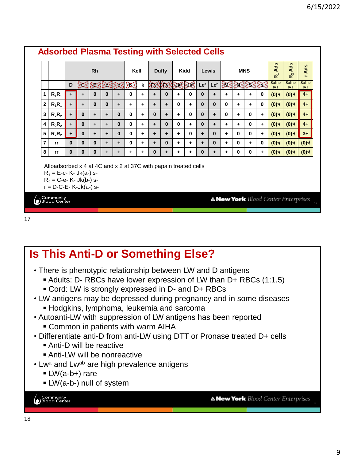|              |                                                                                                                                                           |                      |              | <b>Rh</b> |              |                 | Kell         |   |                  | <b>Duffy</b> | Kidd         |              | <b>Lewis</b> |              |              |              | <b>MNS</b>  |              | Ads<br>œΣ            | Ads<br><u>ኢ</u>                            | Ads<br>$\sim$        |
|--------------|-----------------------------------------------------------------------------------------------------------------------------------------------------------|----------------------|--------------|-----------|--------------|-----------------|--------------|---|------------------|--------------|--------------|--------------|--------------|--------------|--------------|--------------|-------------|--------------|----------------------|--------------------------------------------|----------------------|
|              |                                                                                                                                                           | D                    |              |           |              | $23.8323238123$ |              | k | <b>DE ERNENE</b> |              |              |              | Lea          | Leb          |              |              |             | 36888383     | Saline<br><b>IAT</b> | Saline<br><b>IAT</b>                       | Saline<br><b>IAT</b> |
| 1            | $R_1R_1$                                                                                                                                                  | ÷                    |              | $\bf{0}$  | 0            | +               | 0            | ٠ | ÷                | 0            | ÷            | 0            | 0            | ٠            | ٠            | ٠            | ٠           | 0            | $(0)$ $\sqrt{ }$     | (0)                                        | $4+$                 |
| $\mathbf{2}$ | $R_1R_1$                                                                                                                                                  | ÷                    | ÷            | $\Omega$  | $\mathbf{0}$ | ÷               | ٠            | ÷ | $\ddot{}$        | ٠            | $\mathbf{0}$ | ÷            | $\Omega$     | $\mathbf{0}$ | $\Omega$     | ٠            | ÷           | $\Omega$     | (0)                  | (0)                                        | $4+$                 |
| 3            | $R_2R_2$                                                                                                                                                  | ÷                    | $\mathbf{0}$ | ÷         | ÷            | $\mathbf{0}$    | 0            | ٠ | $\bf{0}$         | ٠            | ÷            | $\mathbf{0}$ | $\bf{0}$     | ٠            | $\mathbf{0}$ | ٠            | 0           | ÷            | $(0)$ $\sqrt{ }$     | (0)                                        | $4+$                 |
| 4            | $R_2R_2$                                                                                                                                                  | $\ddot{}$            | $\Omega$     | ÷         | ÷            | $\mathbf{0}$    | $\mathbf{0}$ | ٠ | ÷                | 0            | $\mathbf{0}$ | ÷            | 0            | ٠            | ÷            | ÷            | $\mathbf 0$ | +            | (0)                  | (0)                                        | $4+$                 |
| 5            | $R_2R_2$                                                                                                                                                  | $\ddot{\phantom{1}}$ | $\bf{0}$     | ÷         | ÷            | $\mathbf{0}$    | 0            | ÷ | $\ddot{}$        | ٠            | $\ddot{}$    | $\mathbf{0}$ | ÷            | $\bf{0}$     | $\ddot{}$    | 0            | $\mathbf 0$ | ÷            | (0)                  | (0)                                        | $3+$                 |
| 7            | rr                                                                                                                                                        | $\Omega$             | $\Omega$     | $\bf{0}$  | ÷            | ÷               | 0            | ٠ | ٠                | 0            | ٠            | ٠            | ٠            | $\bf{0}$     | $\ddot{}$    | $\mathbf{0}$ | ÷           | $\mathbf{0}$ | (0)                  | (0)                                        | (0)                  |
| 8            | rr                                                                                                                                                        | $\Omega$             | $\bf{0}$     | $\bf{0}$  | ÷            | ٠               | ٠            | ٠ | 0                | ٠            | ÷            | ٠            | 0            | ٠            | ÷            | 0            | $\mathbf 0$ | +            | (0)                  | (0)                                        | (0)                  |
|              | Alloadsorbed x 4 at 4C and x 2 at 37C with papain treated cells<br>$R_1 = E-c - K - Jk(a-)$ s-<br>$R_2 = C - e - K - Jk(b-)$ s-<br>$r = D-C-E-K-Jk(a-)s-$ |                      |              |           |              |                 |              |   |                  |              |              |              |              |              |              |              |             |              |                      |                                            |                      |
|              | Community                                                                                                                                                 |                      |              |           |              |                 |              |   |                  |              |              |              |              |              |              |              |             |              |                      | <b>A New York</b> Blood Center Enterprises |                      |

# **Is This Anti-D or Something Else?**

- There is phenotypic relationship between LW and D antigens
	- Adults: D- RBCs have lower expression of LW than D+ RBCs (1:1.5)
	- Cord: LW is strongly expressed in D- and D+ RBCs
- LW antigens may be depressed during pregnancy and in some diseases
	- **EXEDENT** Hodgkins, lymphoma, leukemia and sarcoma
- Autoanti-LW with suppression of LW antigens has been reported
	- **EXECOMMON IN patients with warm AIHA**
- Differentiate anti-D from anti-LW using DTT or Pronase treated D+ cells
	- **Anti-D will be reactive**
	- **Anti-LW will be nonreactive**
- Lw<sup>a</sup> and Lw<sup>ab</sup> are high prevalence antigens
	- $\blacksquare$  LW(a-b+) rare
	- **· LW(a-b-) null of system**

Community<br>DBlood Center

**A New York** Blood Center Enterprises 18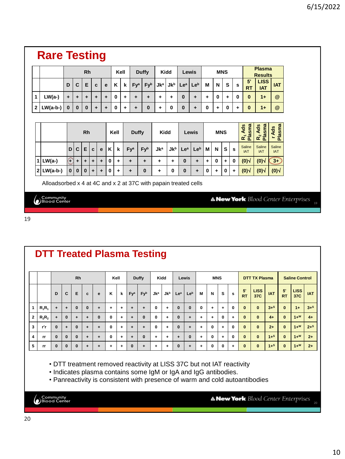### **Rare Testing**

|                         |            |                                |                                                                                                  | <b>Rh</b> |   |              |              | Kell      |                 |                 | <b>Duffy</b> | Kidd       |                        | Lewis           |                 |          |             | <b>MNS</b> |      |                           | <b>Plasma</b><br><b>Results</b> |                      |
|-------------------------|------------|--------------------------------|--------------------------------------------------------------------------------------------------|-----------|---|--------------|--------------|-----------|-----------------|-----------------|--------------|------------|------------------------|-----------------|-----------------|----------|-------------|------------|------|---------------------------|---------------------------------|----------------------|
|                         |            | D                              | C                                                                                                | E         | C |              | $\mathbf{e}$ | K         | k               | Fy <sup>a</sup> | Fyb          | $Jk^a$     | $Jk^b$ Le <sup>a</sup> |                 | Le <sup>b</sup> | м        | N           | S          | s    | 5'<br><b>RT</b>           | <b>LISS</b><br><b>IAT</b>       | <b>IAT</b>           |
| 1                       | $LW(a-)$   | ÷                              | ÷                                                                                                | ٠         | ٠ |              | ÷            | $\bf{0}$  | ٠               | ٠               | ÷            | ÷          | ٠                      | $\bf{0}$        | ٠               | ٠        | 0           | ÷          | 0    | $\bf{0}$                  | $1+$                            | $^{\circledR}$       |
| $\mathbf{2}$            | $LW(a-b-)$ | 0<br>$\bf{0}$<br>$\bf{0}$<br>٠ |                                                                                                  |           |   | $\bf{0}$     | $\ddot{}$    | ٠         | $\mathbf 0$     | $\ddot{}$       | 0            | 0          | ٠                      | 0               | ÷               | $\bf{0}$ | ٠           | $\bf{0}$   | $1+$ | @                         |                                 |                      |
|                         |            | ÷                              |                                                                                                  |           |   |              |              |           |                 |                 |              |            |                        |                 |                 |          |             |            |      |                           |                                 |                      |
|                         |            | <b>Rh</b>                      |                                                                                                  |           |   |              |              |           |                 | <b>Duffy</b>    |              | Kidd       |                        |                 | Lewis           |          | <b>MNS</b>  |            |      | <b>Plasma</b><br>Ads<br>œ | R <sub>2</sub> Ads<br>Plasma    | Plasma<br>Ads        |
|                         |            | D                              | C                                                                                                | E         | C | $\mathbf{e}$ | $\mathsf{K}$ | k         | Fy <sup>a</sup> |                 | Fyb          | <b>Jka</b> | <b>Jkb</b>             | Le <sup>a</sup> | Leb             | М        | N           | S          | s    | Saline<br><b>IAT</b>      | Saline<br><b>IAT</b>            | Saline<br><b>IAT</b> |
|                         |            |                                |                                                                                                  |           |   |              |              |           |                 |                 |              |            |                        |                 |                 |          |             |            |      |                           |                                 |                      |
| $\overline{\mathbf{1}}$ | LW(a-)     | C                              | $\ddot{}$<br>÷<br>÷<br>$\ddot{}$<br>$LW(a-b-)$<br>$\mathbf{0}$<br>$\bf{0}$<br>$\bf{0}$<br>÷<br>٠ |           |   |              | 0            | $\ddot{}$ | ٠               |                 | ٠            | ٠          | ٠                      | $\bf{0}$        | ٠               | ٠        | $\mathbf 0$ | ٠          | 0    | (0)                       | (0)                             | $3 -$                |

Alloadsorbed x 4 at 4C and x 2 at 37C with papain treated cells

Community<br>DBlood Center

**A New York** Blood Center Enterprises

#### 19

|                | <b>DTT Treated Plasma Testing</b> |           |          |           |          |          |      |   |                 |          |            |            |          |          |           |              |           |          |                 |                      |            |                 |                       |            |
|----------------|-----------------------------------|-----------|----------|-----------|----------|----------|------|---|-----------------|----------|------------|------------|----------|----------|-----------|--------------|-----------|----------|-----------------|----------------------|------------|-----------------|-----------------------|------------|
|                |                                   |           |          | <b>Rh</b> |          |          | Kell |   |                 | Duffy    | Kidd       |            |          | Lewis    |           | <b>MNS</b>   |           |          |                 | <b>DTT TX Plasma</b> |            |                 | <b>Saline Control</b> |            |
|                |                                   | D         | C        | Е         | c.       | e        | Κ    | k | Fy <sup>a</sup> | Fyb      | <b>Jka</b> | <b>Jkb</b> | Lea      | Leb      | M         | N            | s         | s        | 5'<br><b>RT</b> | <b>LISS</b><br>37C   | <b>IAT</b> | 5'<br><b>RT</b> | <b>LISS</b><br>37C    | <b>IAT</b> |
| 1              | $R_1R_1$                          | ÷         | ٠        | $\bf{0}$  | $\bf{0}$ | ÷        | +    | ÷ | $\ddot{}$       | ۰        | 0          | ٠          | $\bf{0}$ | $\bf{0}$ | 0         | ٠            | ٠         | $\bf{0}$ | $\bf{0}$        | $\bf{0}$             | $3+$ s     | $\bf{0}$        | $1+$                  | $3+$ s     |
| $\overline{2}$ | $R_2R_2$                          | $\ddot{}$ | $\bf{0}$ | ÷         | ÷        | $\bf{0}$ | 0    | ÷ | ٠               | $\bf{0}$ | 0          | ٠          | $\bf{0}$ | ÷        | ÷         | ٠            | $\bf{0}$  | ٠        | $\bf{0}$        | $\bf{0}$             | $4+$       | $\bf{0}$        | $1+W$                 | $4+$       |
| $\mathbf{3}$   | r'r                               | $\bf{0}$  | ÷        | $\bf{0}$  | ٠        | ٠        | 0    | ÷ | $\ddot{}$       | ۰        | 0          | ٠          | $\bf{0}$ | ٠        | ÷         | $\mathbf{0}$ | ÷         | $\bf{0}$ | $\bf{0}$        | $\bf{0}$             | $2+$       | $\bf{0}$        | $1+W$                 | $2+$ s     |
| 4              | <b>rr</b>                         | $\bf{0}$  | $\bf{0}$ | $\bf{0}$  | ÷        | ÷        | 0    | ÷ | ٠               | $\bf{0}$ | ٠          | ÷          | ÷        | $\bf{0}$ | $\ddot{}$ | $\mathbf{0}$ | $\ddot{}$ | $\bf{0}$ | $\bf{0}$        | $\bf{0}$             | $1+$ s     | $\bf{0}$        | $1+W$                 | $2+$       |
| 5              | <b>rr</b>                         | $\bf{0}$  | $\bf{0}$ | $\bf{0}$  | ٠        | ÷        | ٠    | ٠ | $\bf{0}$        | ٠        | ٠          | ٠          | $\bf{0}$ | ÷        | ٠         | $\mathbf{0}$ | 0         | ٠        | $\bf{0}$        | $\bf{0}$             | $1+$ s     | $\mathbf{0}$    | $1+W$                 | $2+$       |

• DTT treatment removed reactivity at LISS 37C but not IAT reactivity

• Indicates plasma contains some IgM or IgA and IgG antibodies.

• Panreactivity is consistent with presence of warm and cold autoantibodies

Community<br>DBlood Center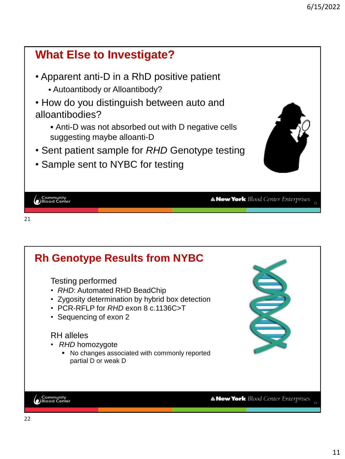

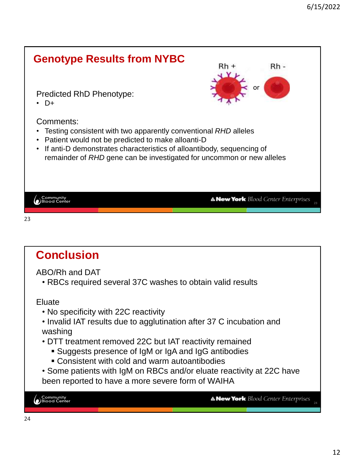

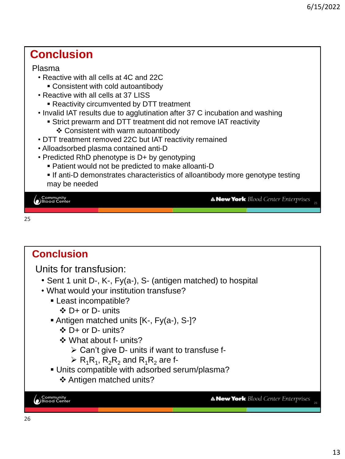#### **Conclusion**

#### Plasma

- Reactive with all cells at 4C and 22C
	- Consistent with cold autoantibody
- Reactive with all cells at 37 LISS
	- **E** Reactivity circumvented by DTT treatment
- Invalid IAT results due to agglutination after 37 C incubation and washing
	- **EXTER 15 IN STRICT STRIP IS STRIP IS STRICT STRICT STRICT FOR THE STRICT ST** 
		- ❖ Consistent with warm autoantibody
- DTT treatment removed 22C but IAT reactivity remained
- Alloadsorbed plasma contained anti-D
- Predicted RhD phenotype is D+ by genotyping
	- Patient would not be predicted to make alloanti-D
	- If anti-D demonstrates characteristics of alloantibody more genotype testing may be needed

│ Community<br>● Blood Center

A New York Blood Center Enterprises 25

26

```
25
```
#### **Conclusion** Units for transfusion: • Sent 1 unit D-, K-, Fy(a-), S- (antigen matched) to hospital • What would your institution transfuse? ▪ Least incompatible? ❖ D+ or D- units ▪ Antigen matched units [K-, Fy(a-), S-]? ❖ D+ or D- units? ❖ What about f- units?  $\triangleright$  Can't give D- units if want to transfuse f- $\triangleright$  R<sub>1</sub>R<sub>1</sub>, R<sub>2</sub>R<sub>2</sub> and R<sub>1</sub>R<sub>2</sub> are f-▪ Units compatible with adsorbed serum/plasma? ❖ Antigen matched units? └<br>● Blood Center **A New York** Blood Center Enterprises 26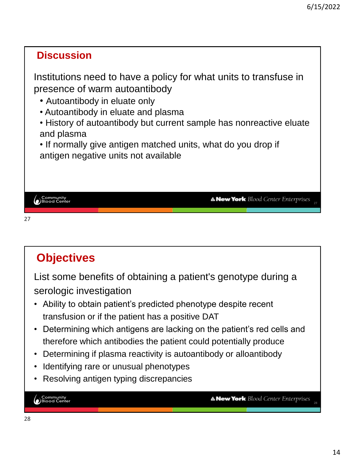#### **Discussion**

Institutions need to have a policy for what units to transfuse in presence of warm autoantibody

- Autoantibody in eluate only
- Autoantibody in eluate and plasma
- History of autoantibody but current sample has nonreactive eluate and plasma

• If normally give antigen matched units, what do you drop if antigen negative units not available

| Community<br>Blood Center |  | <b>A New York</b> Blood Center Enterprises |  |
|---------------------------|--|--------------------------------------------|--|
|                           |  |                                            |  |
|                           |  |                                            |  |

#### 27

## **Objectives**

List some benefits of obtaining a patient's genotype during a serologic investigation

- Ability to obtain patient's predicted phenotype despite recent transfusion or if the patient has a positive DAT
- Determining which antigens are lacking on the patient's red cells and therefore which antibodies the patient could potentially produce
- Determining if plasma reactivity is autoantibody or alloantibody
- Identifying rare or unusual phenotypes
- Resolving antigen typing discrepancies

└<br>● Blood Center

**A New York** Blood Center Enterprises 28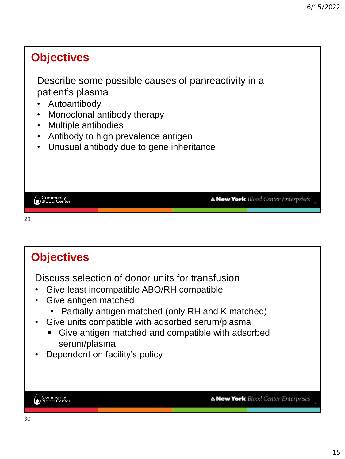### **Objectives** Describe some possible causes of panreactivity in a patient's plasma • Autoantibody • Monoclonal antibody therapy • Multiple antibodies • Antibody to high prevalence antigen • Unusual antibody due to gene inheritance └<br>● Blood Center **A New York** Blood Center Enterprises 29 29